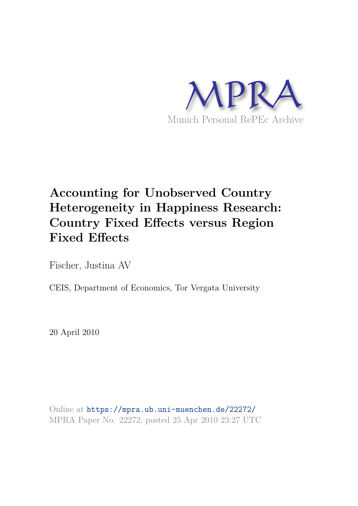

# **Accounting for Unobserved Country Heterogeneity in Happiness Research: Country Fixed Effects versus Region Fixed Effects**

Fischer, Justina AV

CEIS, Department of Economics, Tor Vergata University

20 April 2010

Online at https://mpra.ub.uni-muenchen.de/22272/ MPRA Paper No. 22272, posted 25 Apr 2010 23:27 UTC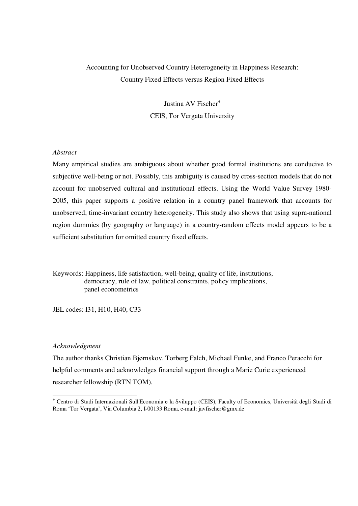# Accounting for Unobserved Country Heterogeneity in Happiness Research: Country Fixed Effects versus Region Fixed Effects

Justina AV Fischer CEIS, Tor Vergata University

# *Abstract*

Many empirical studies are ambiguous about whether good formal institutions are conducive to subjective well-being or not. Possibly, this ambiguity is caused by cross-section models that do not account for unobserved cultural and institutional effects. Using the World Value Survey 1980- 2005, this paper supports a positive relation in a country panel framework that accounts for unobserved, time-invariant country heterogeneity. This study also shows that using supra-national region dummies (by geography or language) in a country-random effects model appears to be a sufficient substitution for omitted country fixed effects.

Keywords: Happiness, life satisfaction, well-being, quality of life, institutions, democracy, rule of law, political constraints, policy implications, panel econometrics

JEL codes: I31, H10, H40, C33

## *Acknowledgment*

-

The author thanks Christian Bjørnskov, Torberg Falch, Michael Funke, and Franco Peracchi for helpful comments and acknowledges financial support through a Marie Curie experienced researcher fellowship (RTN TOM).

 Centro di Studi Internazionali Sull'Economia e la Sviluppo (CEIS), Faculty of Economics, Università degli Studi di Roma 'Tor Vergata', Via Columbia 2, I-00133 Roma, e-mail: javfischer@gmx.de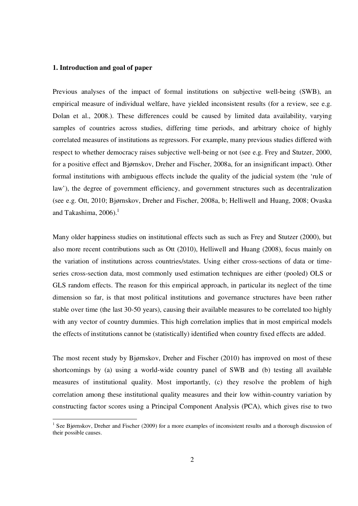#### **1. Introduction and goal of paper**

-

Previous analyses of the impact of formal institutions on subjective well-being (SWB), an empirical measure of individual welfare, have yielded inconsistent results (for a review, see e.g. Dolan et al., 2008.). These differences could be caused by limited data availability, varying samples of countries across studies, differing time periods, and arbitrary choice of highly correlated measures of institutions as regressors. For example, many previous studies differed with respect to whether democracy raises subjective well-being or not (see e.g. Frey and Stutzer, 2000, for a positive effect and Bjørnskov, Dreher and Fischer, 2008a, for an insignificant impact). Other formal institutions with ambiguous effects include the quality of the judicial system (the 'rule of law'), the degree of government efficiency, and government structures such as decentralization (see e.g. Ott, 2010; Bjørnskov, Dreher and Fischer, 2008a, b; Helliwell and Huang, 2008; Ovaska and Takashima,  $2006$ ).<sup>1</sup>

Many older happiness studies on institutional effects such as such as Frey and Stutzer (2000), but also more recent contributions such as Ott (2010), Helliwell and Huang (2008), focus mainly on the variation of institutions across countries/states. Using either cross-sections of data or timeseries cross-section data, most commonly used estimation techniques are either (pooled) OLS or GLS random effects. The reason for this empirical approach, in particular its neglect of the time dimension so far, is that most political institutions and governance structures have been rather stable over time (the last 30-50 years), causing their available measures to be correlated too highly with any vector of country dummies. This high correlation implies that in most empirical models the effects of institutions cannot be (statistically) identified when country fixed effects are added.

The most recent study by Bjørnskov, Dreher and Fischer (2010) has improved on most of these shortcomings by (a) using a world-wide country panel of SWB and (b) testing all available measures of institutional quality. Most importantly, (c) they resolve the problem of high correlation among these institutional quality measures and their low within-country variation by constructing factor scores using a Principal Component Analysis (PCA), which gives rise to two

<sup>&</sup>lt;sup>1</sup> See Bjørnskov, Dreher and Fischer (2009) for a more examples of inconsistent results and a thorough discussion of their possible causes.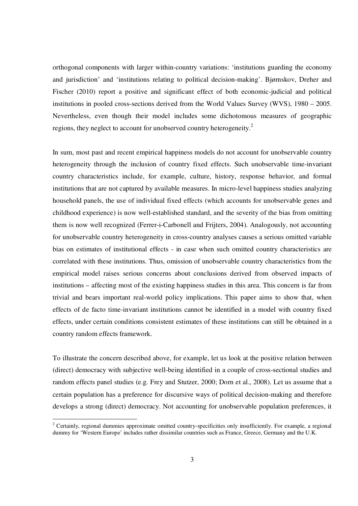orthogonal components with larger within-country variations: 'institutions guarding the economy and jurisdiction' and 'institutions relating to political decision-making'. Bjørnskov, Dreher and Fischer (2010) report a positive and significant effect of both economic-judicial and political institutions in pooled cross-sections derived from the World Values Survey (WVS), 1980 – 2005. Nevertheless, even though their model includes some dichotomous measures of geographic regions, they neglect to account for unobserved country heterogeneity.<sup>2</sup>

In sum, most past and recent empirical happiness models do not account for unobservable country heterogeneity through the inclusion of country fixed effects. Such unobservable time-invariant country characteristics include, for example, culture, history, response behavior, and formal institutions that are not captured by available measures. In micro-level happiness studies analyzing household panels, the use of individual fixed effects (which accounts for unobservable genes and childhood experience) is now well-established standard, and the severity of the bias from omitting them is now well recognized (Ferrer-i-Carbonell and Frijters, 2004). Analogously, not accounting for unobservable country heterogeneity in cross-country analyses causes a serious omitted variable bias on estimates of institutional effects - in case when such omitted country characteristics are correlated with these institutions. Thus, omission of unobservable country characteristics from the empirical model raises serious concerns about conclusions derived from observed impacts of institutions – affecting most of the existing happiness studies in this area. This concern is far from trivial and bears important real-world policy implications. This paper aims to show that, when effects of de facto time-invariant institutions cannot be identified in a model with country fixed effects, under certain conditions consistent estimates of these institutions can still be obtained in a country random effects framework.

To illustrate the concern described above, for example, let us look at the positive relation between (direct) democracy with subjective well-being identified in a couple of cross-sectional studies and random effects panel studies (e.g. Frey and Stutzer, 2000; Dorn et al., 2008). Let us assume that a certain population has a preference for discursive ways of political decision-making and therefore develops a strong (direct) democracy. Not accounting for unobservable population preferences, it

**EXECUTE:**<br><sup>2</sup> Certainly, regional dummies approximate omitted country-specificities only insufficiently. For example, a regional dummy for 'Western Europe' includes rather dissimilar countries such as France, Greece, Germany and the U.K.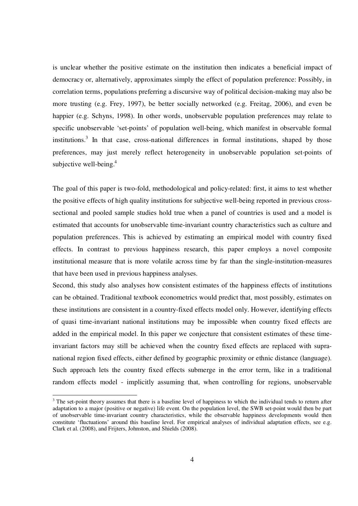is unclear whether the positive estimate on the institution then indicates a beneficial impact of democracy or, alternatively, approximates simply the effect of population preference: Possibly, in correlation terms, populations preferring a discursive way of political decision-making may also be more trusting (e.g. Frey, 1997), be better socially networked (e.g. Freitag, 2006), and even be happier (e.g. Schyns, 1998). In other words, unobservable population preferences may relate to specific unobservable 'set-points' of population well-being, which manifest in observable formal institutions.<sup>3</sup> In that case, cross-national differences in formal institutions, shaped by those preferences, may just merely reflect heterogeneity in unobservable population set-points of subjective well-being. $4$ 

The goal of this paper is two-fold, methodological and policy-related: first, it aims to test whether the positive effects of high quality institutions for subjective well-being reported in previous crosssectional and pooled sample studies hold true when a panel of countries is used and a model is estimated that accounts for unobservable time-invariant country characteristics such as culture and population preferences. This is achieved by estimating an empirical model with country fixed effects. In contrast to previous happiness research, this paper employs a novel composite institutional measure that is more volatile across time by far than the single-institution-measures that have been used in previous happiness analyses.

Second, this study also analyses how consistent estimates of the happiness effects of institutions can be obtained. Traditional textbook econometrics would predict that, most possibly, estimates on these institutions are consistent in a country-fixed effects model only. However, identifying effects of quasi time-invariant national institutions may be impossible when country fixed effects are added in the empirical model. In this paper we conjecture that consistent estimates of these timeinvariant factors may still be achieved when the country fixed effects are replaced with supranational region fixed effects, either defined by geographic proximity or ethnic distance (language). Such approach lets the country fixed effects submerge in the error term, like in a traditional random effects model - implicitly assuming that, when controlling for regions, unobservable

<sup>&</sup>lt;sup>3</sup> The set-point theory assumes that there is a baseline level of happiness to which the individual tends to return after adaptation to a major (positive or negative) life event. On the population level, the SWB set-point would then be part of unobservable time-invariant country characteristics, while the observable happiness developments would then constitute 'fluctuations' around this baseline level. For empirical analyses of individual adaptation effects, see e.g. Clark et al. (2008), and Frijters, Johnston, and Shields (2008).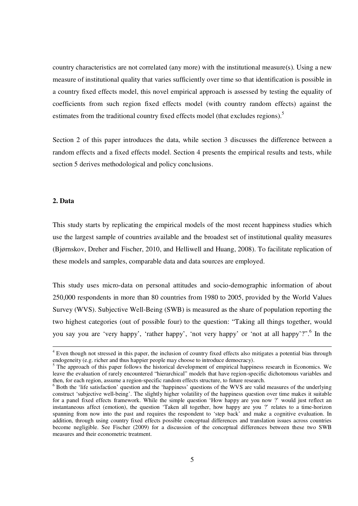country characteristics are not correlated (any more) with the institutional measure(s). Using a new measure of institutional quality that varies sufficiently over time so that identification is possible in a country fixed effects model, this novel empirical approach is assessed by testing the equality of coefficients from such region fixed effects model (with country random effects) against the estimates from the traditional country fixed effects model (that excludes regions).<sup>5</sup>

Section 2 of this paper introduces the data, while section 3 discusses the difference between a random effects and a fixed effects model. Section 4 presents the empirical results and tests, while section 5 derives methodological and policy conclusions.

## **2. Data**

-

This study starts by replicating the empirical models of the most recent happiness studies which use the largest sample of countries available and the broadest set of institutional quality measures (Bjørnskov, Dreher and Fischer, 2010, and Helliwell and Huang, 2008). To facilitate replication of these models and samples, comparable data and data sources are employed.

This study uses micro-data on personal attitudes and socio-demographic information of about 250,000 respondents in more than 80 countries from 1980 to 2005, provided by the World Values Survey (WVS). Subjective Well-Being (SWB) is measured as the share of population reporting the two highest categories (out of possible four) to the question: "Taking all things together, would you say you are 'very happy', 'rather happy', 'not very happy' or 'not at all happy'?".<sup>6</sup> In the

<sup>&</sup>lt;sup>4</sup> Even though not stressed in this paper, the inclusion of country fixed effects also mitigates a potential bias through endogeneity (e.g. richer and thus happier people may choose to introduce democracy).

<sup>&</sup>lt;sup>5</sup> The approach of this paper follows the historical development of empirical happiness research in Economics. We leave the evaluation of rarely encountered "hierarchical" models that have region-specific dichotomous variables and then, for each region, assume a region-specific random effects structure, to future research.

<sup>&</sup>lt;sup>6</sup> Both the 'life satisfaction' question and the 'happiness' questions of the WVS are valid measures of the underlying construct 'subjective well-being'. The slightly higher volatility of the happiness question over time makes it suitable for a panel fixed effects framework. While the simple question 'How happy are you now ?' would just reflect an instantaneous affect (emotion), the question 'Taken all together, how happy are you ?' relates to a time-horizon spanning from now into the past and requires the respondent to 'step back' and make a cognitive evaluation. In addition, through using country fixed effects possible conceptual differences and translation issues across countries become negligible. See Fischer (2009) for a discussion of the conceptual differences between these two SWB measures and their econometric treatment.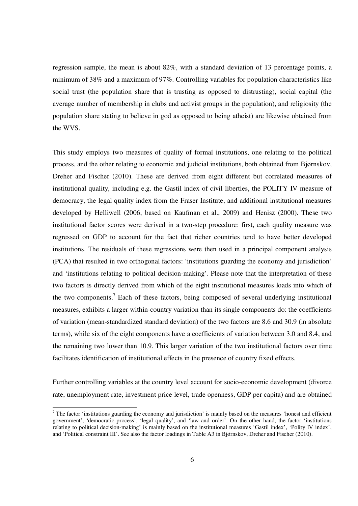regression sample, the mean is about 82%, with a standard deviation of 13 percentage points, a minimum of 38% and a maximum of 97%. Controlling variables for population characteristics like social trust (the population share that is trusting as opposed to distrusting), social capital (the average number of membership in clubs and activist groups in the population), and religiosity (the population share stating to believe in god as opposed to being atheist) are likewise obtained from the WVS.

This study employs two measures of quality of formal institutions, one relating to the political process, and the other relating to economic and judicial institutions, both obtained from Bjørnskov, Dreher and Fischer (2010). These are derived from eight different but correlated measures of institutional quality, including e.g. the Gastil index of civil liberties, the POLITY IV measure of democracy, the legal quality index from the Fraser Institute, and additional institutional measures developed by Helliwell (2006, based on Kaufman et al., 2009) and Henisz (2000). These two institutional factor scores were derived in a two-step procedure: first, each quality measure was regressed on GDP to account for the fact that richer countries tend to have better developed institutions. The residuals of these regressions were then used in a principal component analysis (PCA) that resulted in two orthogonal factors: 'institutions guarding the economy and jurisdiction' and 'institutions relating to political decision-making'. Please note that the interpretation of these two factors is directly derived from which of the eight institutional measures loads into which of the two components.<sup>7</sup> Each of these factors, being composed of several underlying institutional measures, exhibits a larger within-country variation than its single components do: the coefficients of variation (mean-standardized standard deviation) of the two factors are 8.6 and 30.9 (in absolute terms), while six of the eight components have a coefficients of variation between 3.0 and 8.4, and the remaining two lower than 10.9. This larger variation of the two institutional factors over time facilitates identification of institutional effects in the presence of country fixed effects.

Further controlling variables at the country level account for socio-economic development (divorce rate, unemployment rate, investment price level, trade openness, GDP per capita) and are obtained

 $<sup>7</sup>$  The factor 'institutions guarding the economy and jurisdiction' is mainly based on the measures 'honest and efficient</sup> government', 'democratic process', 'legal quality', and 'law and order'. On the other hand, the factor 'institutions relating to political decision-making' is mainly based on the institutional measures 'Gastil index', 'Polity IV index', and 'Political constraint III'. See also the factor loadings in Table A3 in Bjørnskov, Dreher and Fischer (2010).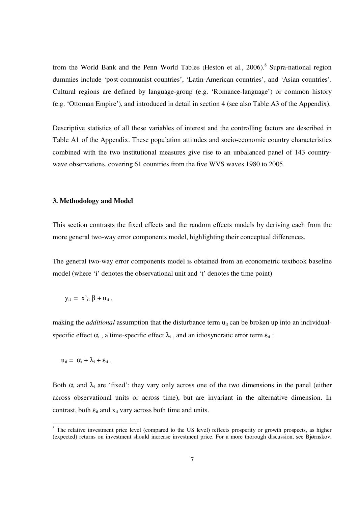from the World Bank and the Penn World Tables (Heston et al., 2006).<sup>8</sup> Supra-national region dummies include 'post-communist countries', 'Latin-American countries', and 'Asian countries'. Cultural regions are defined by language-group (e.g. 'Romance-language') or common history (e.g. 'Ottoman Empire'), and introduced in detail in section 4 (see also Table A3 of the Appendix).

Descriptive statistics of all these variables of interest and the controlling factors are described in Table A1 of the Appendix. These population attitudes and socio-economic country characteristics combined with the two institutional measures give rise to an unbalanced panel of 143 countrywave observations, covering 61 countries from the five WVS waves 1980 to 2005.

#### **3. Methodology and Model**

This section contrasts the fixed effects and the random effects models by deriving each from the more general two-way error components model, highlighting their conceptual differences.

The general two-way error components model is obtained from an econometric textbook baseline model (where 'i' denotes the observational unit and 't' denotes the time point)

$$
y_{it} = x'_{it} \beta + u_{it},
$$

making the *additional* assumption that the disturbance term u<sub>it</sub> can be broken up into an individualspecific effect  $\alpha_i$ , a time-specific effect  $\lambda_t$ , and an idiosyncratic error term  $\varepsilon_{it}$ :

$$
u_{it} = \alpha_i + \lambda_t + \varepsilon_{it}.
$$

-

Both  $\alpha_i$  and  $\lambda_i$  are 'fixed': they vary only across one of the two dimensions in the panel (either across observational units or across time), but are invariant in the alternative dimension. In contrast, both  $\varepsilon_{it}$  and  $x_{it}$  vary across both time and units.

<sup>&</sup>lt;sup>8</sup> The relative investment price level (compared to the US level) reflects prosperity or growth prospects, as higher (expected) returns on investment should increase investment price. For a more thorough discussion, see Bjørnskov,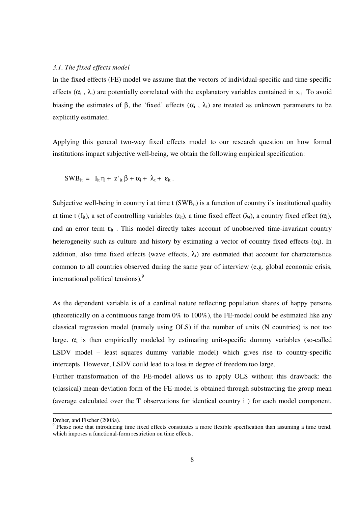#### *3.1. The fixed effects model*

In the fixed effects (FE) model we assume that the vectors of individual-specific and time-specific effects  $(\alpha_i, \lambda_i)$  are potentially correlated with the explanatory variables contained in  $x_{it}$ . To avoid biasing the estimates of  $\beta$ , the 'fixed' effects  $(\alpha_i, \lambda_i)$  are treated as unknown parameters to be explicitly estimated.

Applying this general two-way fixed effects model to our research question on how formal institutions impact subjective well-being, we obtain the following empirical specification:

$$
SWB_{it} = I_{it} \eta + z'_{it} \beta + \alpha_i + \lambda_t + \epsilon_{it} .
$$

Subjective well-being in country i at time t  $(SWB_{it})$  is a function of country i's institutional quality at time t (I<sub>it</sub>), a set of controlling variables ( $z_{it}$ ), a time fixed effect ( $\lambda_t$ ), a country fixed effect ( $\alpha_i$ ), and an error term  $\varepsilon_{it}$ . This model directly takes account of unobserved time-invariant country heterogeneity such as culture and history by estimating a vector of country fixed effects  $(\alpha_i)$ . In addition, also time fixed effects (wave effects,  $\lambda_i$ ) are estimated that account for characteristics common to all countries observed during the same year of interview (e.g. global economic crisis, international political tensions).<sup>9</sup>

As the dependent variable is of a cardinal nature reflecting population shares of happy persons (theoretically on a continuous range from  $0\%$  to  $100\%$ ), the FE-model could be estimated like any classical regression model (namely using OLS) if the number of units (N countries) is not too large.  $\alpha_i$  is then empirically modeled by estimating unit-specific dummy variables (so-called LSDV model – least squares dummy variable model) which gives rise to country-specific intercepts. However, LSDV could lead to a loss in degree of freedom too large.

Further transformation of the FE-model allows us to apply OLS without this drawback: the (classical) mean-deviation form of the FE-model is obtained through substracting the group mean (average calculated over the T observations for identical country i ) for each model component,

Dreher, and Fischer (2008a).

<sup>9</sup> Please note that introducing time fixed effects constitutes a more flexible specification than assuming a time trend, which imposes a functional-form restriction on time effects.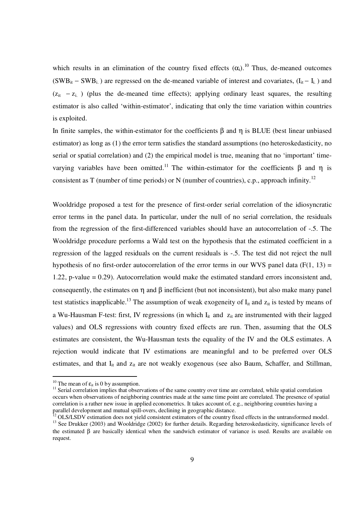which results in an elimination of the country fixed effects  $(\alpha_i)$ .<sup>10</sup> Thus, de-meaned outcomes  $(SWB_{it} - SWB_{i.})$  are regressed on the de-meaned variable of interest and covariates,  $(I_{it} - I_{i.})$  and  $(z_{it} - z_{i.})$  (plus the de-meaned time effects); applying ordinary least squares, the resulting estimator is also called 'within-estimator', indicating that only the time variation within countries is exploited.

In finite samples, the within-estimator for the coefficients β and η is BLUE (best linear unbiased estimator) as long as (1) the error term satisfies the standard assumptions (no heteroskedasticity, no serial or spatial correlation) and (2) the empirical model is true, meaning that no 'important' timevarying variables have been omitted.<sup>11</sup> The within-estimator for the coefficients  $\beta$  and  $\eta$  is consistent as T (number of time periods) or N (number of countries), c.p., approach infinity.<sup>12</sup>

Wooldridge proposed a test for the presence of first-order serial correlation of the idiosyncratic error terms in the panel data. In particular, under the null of no serial correlation, the residuals from the regression of the first-differenced variables should have an autocorrelation of -.5. The Wooldridge procedure performs a Wald test on the hypothesis that the estimated coefficient in a regression of the lagged residuals on the current residuals is -.5. The test did not reject the null hypothesis of no first-order autocorrelation of the error terms in our WVS panel data ( $F(1, 13) =$ 1.22, p-value = 0.29). Autocorrelation would make the estimated standard errors inconsistent and, consequently, the estimates on  $\eta$  and  $\beta$  inefficient (but not inconsistent), but also make many panel test statistics inapplicable.<sup>13</sup> The assumption of weak exogeneity of  $I_{it}$  and  $Z_{it}$  is tested by means of a Wu-Hausman F-test: first, IV regressions (in which I<sub>it</sub> and z<sub>it</sub> are instrumented with their lagged values) and OLS regressions with country fixed effects are run. Then, assuming that the OLS estimates are consistent, the Wu-Hausman tests the equality of the IV and the OLS estimates. A rejection would indicate that IV estimations are meaningful and to be preferred over OLS estimates, and that I<sub>it</sub> and z<sub>it</sub> are not weakly exogenous (see also Baum, Schaffer, and Stillman,

<sup>&</sup>lt;sup>10</sup> The mean of  $\varepsilon_{it}$  is 0 by assumption.

<sup>&</sup>lt;sup>11</sup> Serial correlation implies that observations of the same country over time are correlated, while spatial correlation occurs when observations of neighboring countries made at the same time point are correlated. The presence of spatial correlation is a rather new issue in applied econometrics. It takes account of, e.g., neighboring countries having a parallel development and mutual spill-overs, declining in geographic distance.

 $12$  OLS/LSDV estimation does not yield consistent estimators of the country fixed effects in the untransformed model. <sup>13</sup> See Drukker (2003) and Wooldridge (2002) for further details. Regarding heteroskedasticity, significance levels of the estimated β are basically identical when the sandwich estimator of variance is used. Results are available on request.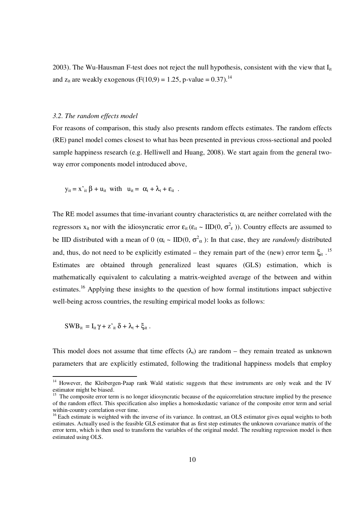2003). The Wu-Hausman F-test does not reject the null hypothesis, consistent with the view that  $I_{it}$ and  $z_{it}$  are weakly exogenous (F(10,9) = 1.25, p-value = 0.37).<sup>14</sup>

#### *3.2. The random effects model*

For reasons of comparison, this study also presents random effects estimates. The random effects (RE) panel model comes closest to what has been presented in previous cross-sectional and pooled sample happiness research (e.g. Helliwell and Huang, 2008). We start again from the general twoway error components model introduced above,

$$
y_{it} = x'_{it} \beta + u_{it}
$$
 with  $u_{it} = \alpha_i + \lambda_t + \varepsilon_{it}$ .

The RE model assumes that time-invariant country characteristics  $\alpha_i$  are neither correlated with the regressors  $x_{it}$  nor with the idiosyncratic error  $\varepsilon_{it}$  ( $\varepsilon_{it} \sim IID(0, \sigma^2_{\varepsilon})$ ). Country effects are assumed to be IID distributed with a mean of 0 ( $\alpha_i \sim \text{IID}(0, \sigma^2_{\alpha})$ ): In that case, they are *randomly* distributed and, thus, do not need to be explicitly estimated – they remain part of the (new) error term  $\xi_{it}$ .<sup>15</sup> Estimates are obtained through generalized least squares (GLS) estimation, which is mathematically equivalent to calculating a matrix-weighted average of the between and within estimates.<sup>16</sup> Applying these insights to the question of how formal institutions impact subjective well-being across countries, the resulting empirical model looks as follows:

SWB<sub>it</sub> =  $I_{it} \gamma + z'_{it} \delta + \lambda_t + \xi_{it}$ .

-

This model does not assume that time effects  $(\lambda_t)$  are random – they remain treated as unknown parameters that are explicitly estimated, following the traditional happiness models that employ

<sup>&</sup>lt;sup>14</sup> However, the Kleibergen-Paap rank Wald statistic suggests that these instruments are only weak and the IV estimator might be biased.

<sup>&</sup>lt;sup>15</sup> The composite error term is no longer idiosyncratic because of the equicorrelation structure implied by the presence of the random effect. This specification also implies a homoskedastic variance of the composite error term and serial within-country correlation over time.

<sup>&</sup>lt;sup>16</sup> Each estimate is weighted with the inverse of its variance. In contrast, an OLS estimator gives equal weights to both estimates. Actually used is the feasible GLS estimator that as first step estimates the unknown covariance matrix of the error term, which is then used to transform the variables of the original model. The resulting regression model is then estimated using OLS.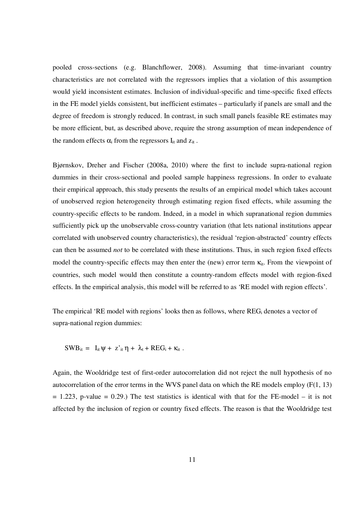pooled cross-sections (e.g. Blanchflower, 2008). Assuming that time-invariant country characteristics are not correlated with the regressors implies that a violation of this assumption would yield inconsistent estimates. Inclusion of individual-specific and time-specific fixed effects in the FE model yields consistent, but inefficient estimates – particularly if panels are small and the degree of freedom is strongly reduced. In contrast, in such small panels feasible RE estimates may be more efficient, but, as described above, require the strong assumption of mean independence of the random effects  $\alpha_i$  from the regressors  $I_{it}$  and  $z_{it}$ .

Bjørnskov, Dreher and Fischer (2008a, 2010) where the first to include supra-national region dummies in their cross-sectional and pooled sample happiness regressions. In order to evaluate their empirical approach, this study presents the results of an empirical model which takes account of unobserved region heterogeneity through estimating region fixed effects, while assuming the country-specific effects to be random. Indeed, in a model in which supranational region dummies sufficiently pick up the unobservable cross-country variation (that lets national institutions appear correlated with unobserved country characteristics), the residual 'region-abstracted' country effects can then be assumed *not* to be correlated with these institutions. Thus, in such region fixed effects model the country-specific effects may then enter the (new) error term  $\kappa_{it}$ . From the viewpoint of countries, such model would then constitute a country-random effects model with region-fixed effects. In the empirical analysis, this model will be referred to as 'RE model with region effects'.

The empirical 'RE model with regions' looks then as follows, where  $REG_i$  denotes a vector of supra-national region dummies:

 $SWB_{it} = I_{it} \psi + z_{it}^{\prime} \eta + \lambda_t + REG_i + \kappa_{it}$ .

Again, the Wooldridge test of first-order autocorrelation did not reject the null hypothesis of no autocorrelation of the error terms in the WVS panel data on which the RE models employ (F(1, 13)  $= 1.223$ , p-value  $= 0.29$ .) The test statistics is identical with that for the FE-model – it is not affected by the inclusion of region or country fixed effects. The reason is that the Wooldridge test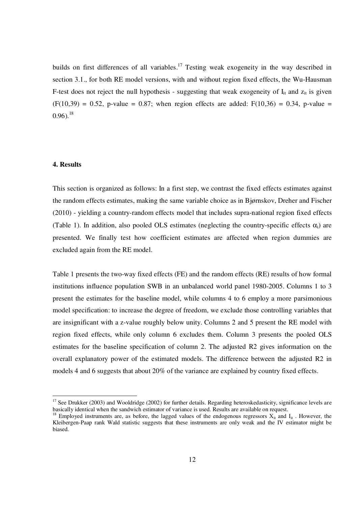builds on first differences of all variables.<sup>17</sup> Testing weak exogeneity in the way described in section 3.1., for both RE model versions, with and without region fixed effects, the Wu-Hausman F-test does not reject the null hypothesis - suggesting that weak exogeneity of  $I_{it}$  and  $Z_{it}$  is given  $(F(10,39) = 0.52, p-value = 0.87;$  when region effects are added:  $F(10,36) = 0.34$ , p-value =  $0.96$ ).<sup>18</sup>

# **4. Results**

-

This section is organized as follows: In a first step, we contrast the fixed effects estimates against the random effects estimates, making the same variable choice as in Bjørnskov, Dreher and Fischer (2010) - yielding a country-random effects model that includes supra-national region fixed effects (Table 1). In addition, also pooled OLS estimates (neglecting the country-specific effects  $\alpha_i$ ) are presented. We finally test how coefficient estimates are affected when region dummies are excluded again from the RE model.

Table 1 presents the two-way fixed effects (FE) and the random effects (RE) results of how formal institutions influence population SWB in an unbalanced world panel 1980-2005. Columns 1 to 3 present the estimates for the baseline model, while columns 4 to 6 employ a more parsimonious model specification: to increase the degree of freedom, we exclude those controlling variables that are insignificant with a z-value roughly below unity. Columns 2 and 5 present the RE model with region fixed effects, while only column 6 excludes them. Column 3 presents the pooled OLS estimates for the baseline specification of column 2. The adjusted R2 gives information on the overall explanatory power of the estimated models. The difference between the adjusted R2 in models 4 and 6 suggests that about 20% of the variance are explained by country fixed effects.

 $17$  See Drukker (2003) and Wooldridge (2002) for further details. Regarding heteroskedasticity, significance levels are basically identical when the sandwich estimator of variance is used. Results are available on request.

<sup>&</sup>lt;sup>18</sup> Employed instruments are, as before, the lagged values of the endogenous regressors  $X_{it}$  and  $I_{it}$ . However, the Kleibergen-Paap rank Wald statistic suggests that these instruments are only weak and the IV estimator might be biased.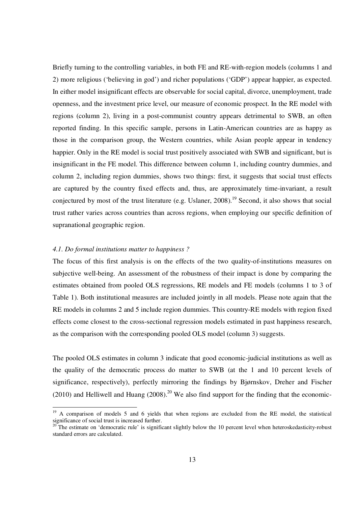Briefly turning to the controlling variables, in both FE and RE-with-region models (columns 1 and 2) more religious ('believing in god') and richer populations ('GDP') appear happier, as expected. In either model insignificant effects are observable for social capital, divorce, unemployment, trade openness, and the investment price level, our measure of economic prospect. In the RE model with regions (column 2), living in a post-communist country appears detrimental to SWB, an often reported finding. In this specific sample, persons in Latin-American countries are as happy as those in the comparison group, the Western countries, while Asian people appear in tendency happier. Only in the RE model is social trust positively associated with SWB and significant, but is insignificant in the FE model. This difference between column 1, including country dummies, and column 2, including region dummies, shows two things: first, it suggests that social trust effects are captured by the country fixed effects and, thus, are approximately time-invariant, a result conjectured by most of the trust literature (e.g. Uslaner,  $2008$ ).<sup>19</sup> Second, it also shows that social trust rather varies across countries than across regions, when employing our specific definition of supranational geographic region.

### *4.1. Do formal institutions matter to happiness ?*

-

The focus of this first analysis is on the effects of the two quality-of-institutions measures on subjective well-being. An assessment of the robustness of their impact is done by comparing the estimates obtained from pooled OLS regressions, RE models and FE models (columns 1 to 3 of Table 1). Both institutional measures are included jointly in all models. Please note again that the RE models in columns 2 and 5 include region dummies. This country-RE models with region fixed effects come closest to the cross-sectional regression models estimated in past happiness research, as the comparison with the corresponding pooled OLS model (column 3) suggests.

The pooled OLS estimates in column 3 indicate that good economic-judicial institutions as well as the quality of the democratic process do matter to SWB (at the 1 and 10 percent levels of significance, respectively), perfectly mirroring the findings by Bjørnskov, Dreher and Fischer (2010) and Helliwell and Huang  $(2008)$ .<sup>20</sup> We also find support for the finding that the economic-

<sup>&</sup>lt;sup>19</sup> A comparison of models 5 and 6 yields that when regions are excluded from the RE model, the statistical significance of social trust is increased further.

 $20$ <sup>The estimate on 'democratic rule' is significant slightly below the 10 percent level when heteroskedasticity-robust</sup> standard errors are calculated.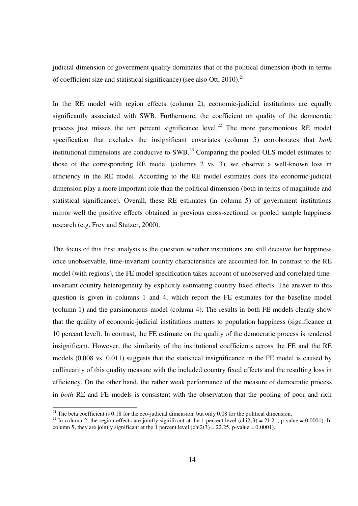judicial dimension of government quality dominates that of the political dimension (both in terms of coefficient size and statistical significance) (see also Ott,  $2010$ ).<sup>21</sup>

In the RE model with region effects (column 2), economic-judicial institutions are equally significantly associated with SWB. Furthermore, the coefficient on quality of the democratic process just misses the ten percent significance level.<sup>22</sup> The more parsimonious RE model specification that excludes the insignificant covariates (column 5) corroborates that *both*  institutional dimensions are conducive to  $SWB<sup>23</sup>$  Comparing the pooled OLS model estimates to those of the corresponding RE model (columns 2 vs. 3), we observe a well-known loss in efficiency in the RE model. According to the RE model estimates does the economic-judicial dimension play a more important role than the political dimension (both in terms of magnitude and statistical significance). Overall, these RE estimates (in column 5) of government institutions mirror well the positive effects obtained in previous cross-sectional or pooled sample happiness research (e.g. Frey and Stutzer, 2000).

The focus of this first analysis is the question whether institutions are still decisive for happiness once unobservable, time-invariant country characteristics are accounted for. In contrast to the RE model (with regions), the FE model specification takes account of unobserved and correlated timeinvariant country heterogeneity by explicitly estimating country fixed effects. The answer to this question is given in columns 1 and 4, which report the FE estimates for the baseline model (column 1) and the parsimonious model (column 4). The results in both FE models clearly show that the quality of economic-judicial institutions matters to population happiness (significance at 10 percent level). In contrast, the FE estimate on the quality of the democratic process is rendered insignificant. However, the similarity of the institutional coefficients across the FE and the RE models (0.008 vs. 0.011) suggests that the statistical insignificance in the FE model is caused by collinearity of this quality measure with the included country fixed effects and the resulting loss in efficiency. On the other hand, the rather weak performance of the measure of democratic process in *both* RE and FE models is consistent with the observation that the pooling of poor and rich

<sup>&</sup>lt;sup>21</sup> The beta coefficient is 0.18 for the eco-judicial dimension, but only 0.08 for the political dimension.

<sup>&</sup>lt;sup>22</sup> In column 2, the region effects are jointly significant at the 1 percent level (chi2(3) = 21.21, p-value = 0.0001). In column 5, they are jointly significant at the 1 percent level  $\left(\text{chi2}(3) = 22.25, \text{ p-value} = 0.0001\right)$ .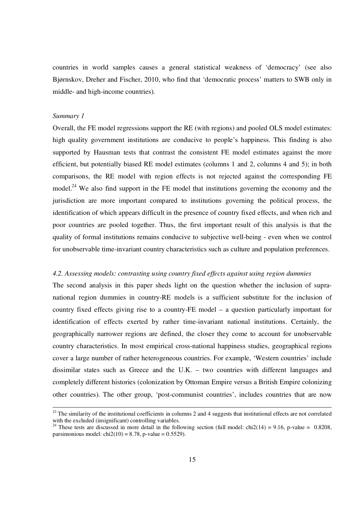countries in world samples causes a general statistical weakness of 'democracy' (see also Bjørnskov, Dreher and Fischer, 2010, who find that 'democratic process' matters to SWB only in middle- and high-income countries).

#### *Summary 1*

-

Overall, the FE model regressions support the RE (with regions) and pooled OLS model estimates: high quality government institutions are conducive to people's happiness. This finding is also supported by Hausman tests that contrast the consistent FE model estimates against the more efficient, but potentially biased RE model estimates (columns 1 and 2, columns 4 and 5); in both comparisons, the RE model with region effects is not rejected against the corresponding FE model.<sup>24</sup> We also find support in the FE model that institutions governing the economy and the jurisdiction are more important compared to institutions governing the political process, the identification of which appears difficult in the presence of country fixed effects, and when rich and poor countries are pooled together. Thus, the first important result of this analysis is that the quality of formal institutions remains conducive to subjective well-being - even when we control for unobservable time-invariant country characteristics such as culture and population preferences.

### *4.2. Assessing models: contrasting using country fixed effects against using region dummies*

The second analysis in this paper sheds light on the question whether the inclusion of supranational region dummies in country-RE models is a sufficient substitute for the inclusion of country fixed effects giving rise to a country-FE model – a question particularly important for identification of effects exerted by rather time-invariant national institutions. Certainly, the geographically narrower regions are defined, the closer they come to account for unobservable country characteristics. In most empirical cross-national happiness studies, geographical regions cover a large number of rather heterogeneous countries. For example, 'Western countries' include dissimilar states such as Greece and the U.K. – two countries with different languages and completely different histories (colonization by Ottoman Empire versus a British Empire colonizing other countries). The other group, 'post-communist countries', includes countries that are now

 $2<sup>23</sup>$  The similarity of the institutional coefficients in columns 2 and 4 suggests that institutional effects are not correlated with the excluded (insignificant) controlling variables.

<sup>&</sup>lt;sup>24</sup> These tests are discussed in more detail in the following section (full model: chi2(14) = 9.16, p-value = 0.8208, parsimonious model:  $chi2(10) = 8.78$ , p-value = 0.5529).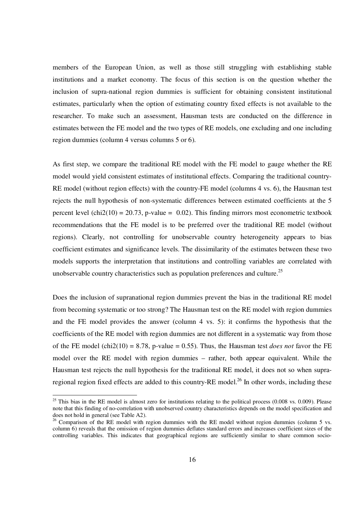members of the European Union, as well as those still struggling with establishing stable institutions and a market economy. The focus of this section is on the question whether the inclusion of supra-national region dummies is sufficient for obtaining consistent institutional estimates, particularly when the option of estimating country fixed effects is not available to the researcher. To make such an assessment, Hausman tests are conducted on the difference in estimates between the FE model and the two types of RE models, one excluding and one including region dummies (column 4 versus columns 5 or 6).

As first step, we compare the traditional RE model with the FE model to gauge whether the RE model would yield consistent estimates of institutional effects. Comparing the traditional country-RE model (without region effects) with the country-FE model (columns 4 vs. 6), the Hausman test rejects the null hypothesis of non-systematic differences between estimated coefficients at the 5 percent level (chi2(10) = 20.73, p-value = 0.02). This finding mirrors most econometric textbook recommendations that the FE model is to be preferred over the traditional RE model (without regions). Clearly, not controlling for unobservable country heterogeneity appears to bias coefficient estimates and significance levels. The dissimilarity of the estimates between these two models supports the interpretation that institutions and controlling variables are correlated with unobservable country characteristics such as population preferences and culture.<sup>25</sup>

Does the inclusion of supranational region dummies prevent the bias in the traditional RE model from becoming systematic or too strong? The Hausman test on the RE model with region dummies and the FE model provides the answer (column 4 vs. 5): it confirms the hypothesis that the coefficients of the RE model with region dummies are not different in a systematic way from those of the FE model (chi2(10) = 8.78, p-value = 0.55). Thus, the Hausman test *does not* favor the FE model over the RE model with region dummies – rather, both appear equivalent. While the Hausman test rejects the null hypothesis for the traditional RE model, it does not so when supraregional region fixed effects are added to this country-RE model.<sup>26</sup> In other words, including these

 $25$  This bias in the RE model is almost zero for institutions relating to the political process (0.008 vs. 0.009). Please note that this finding of no-correlation with unobserved country characteristics depends on the model specification and does not hold in general (see Table A2).

 $26$  Comparison of the RE model with region dummies with the RE model without region dummies (column 5 vs. column 6) reveals that the omission of region dummies deflates standard errors and increases coefficient sizes of the controlling variables. This indicates that geographical regions are sufficiently similar to share common socio-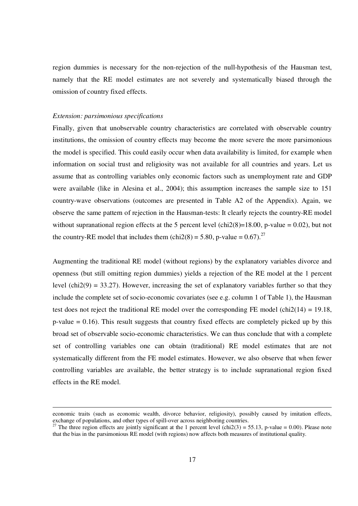region dummies is necessary for the non-rejection of the null-hypothesis of the Hausman test, namely that the RE model estimates are not severely and systematically biased through the omission of country fixed effects.

#### *Extension: parsimonious specifications*

-

Finally, given that unobservable country characteristics are correlated with observable country institutions, the omission of country effects may become the more severe the more parsimonious the model is specified. This could easily occur when data availability is limited, for example when information on social trust and religiosity was not available for all countries and years. Let us assume that as controlling variables only economic factors such as unemployment rate and GDP were available (like in Alesina et al., 2004); this assumption increases the sample size to 151 country-wave observations (outcomes are presented in Table A2 of the Appendix). Again, we observe the same pattern of rejection in the Hausman-tests: It clearly rejects the country-RE model without supranational region effects at the 5 percent level (chi2(8)=18.00, p-value =  $0.02$ ), but not the country-RE model that includes them (chi2(8) = 5.80, p-value =  $0.67$ ).<sup>27</sup>

Augmenting the traditional RE model (without regions) by the explanatory variables divorce and openness (but still omitting region dummies) yields a rejection of the RE model at the 1 percent level (chi2(9) = 33.27). However, increasing the set of explanatory variables further so that they include the complete set of socio-economic covariates (see e.g. column 1 of Table 1), the Hausman test does not reject the traditional RE model over the corresponding FE model (chi $2(14) = 19.18$ ,  $p$ -value = 0.16). This result suggests that country fixed effects are completely picked up by this broad set of observable socio-economic characteristics. We can thus conclude that with a complete set of controlling variables one can obtain (traditional) RE model estimates that are not systematically different from the FE model estimates. However, we also observe that when fewer controlling variables are available, the better strategy is to include supranational region fixed effects in the RE model.

economic traits (such as economic wealth, divorce behavior, religiosity), possibly caused by imitation effects, exchange of populations, and other types of spill-over across neighboring countries.

<sup>&</sup>lt;sup>27</sup> The three region effects are jointly significant at the 1 percent level (chi2(3) = 55.13, p-value = 0.00). Please note that the bias in the parsimonious RE model (with regions) now affects both measures of institutional quality.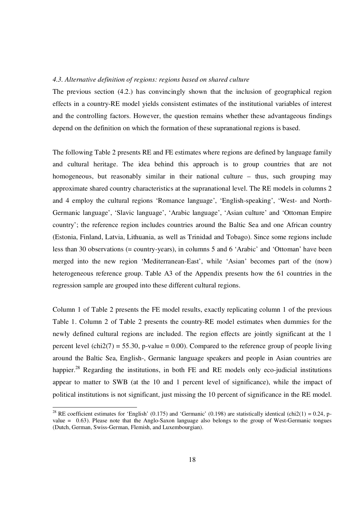### *4.3. Alternative definition of regions: regions based on shared culture*

The previous section (4.2.) has convincingly shown that the inclusion of geographical region effects in a country-RE model yields consistent estimates of the institutional variables of interest and the controlling factors. However, the question remains whether these advantageous findings depend on the definition on which the formation of these supranational regions is based.

The following Table 2 presents RE and FE estimates where regions are defined by language family and cultural heritage. The idea behind this approach is to group countries that are not homogeneous, but reasonably similar in their national culture – thus, such grouping may approximate shared country characteristics at the supranational level. The RE models in columns 2 and 4 employ the cultural regions 'Romance language', 'English-speaking', 'West- and North-Germanic language', 'Slavic language', 'Arabic language', 'Asian culture' and 'Ottoman Empire country'; the reference region includes countries around the Baltic Sea and one African country (Estonia, Finland, Latvia, Lithuania, as well as Trinidad and Tobago). Since some regions include less than 30 observations (= country-years), in columns 5 and 6 'Arabic' and 'Ottoman' have been merged into the new region 'Mediterranean-East', while 'Asian' becomes part of the (now) heterogeneous reference group. Table A3 of the Appendix presents how the 61 countries in the regression sample are grouped into these different cultural regions.

Column 1 of Table 2 presents the FE model results, exactly replicating column 1 of the previous Table 1. Column 2 of Table 2 presents the country-RE model estimates when dummies for the newly defined cultural regions are included. The region effects are jointly significant at the 1 percent level (chi2(7) = 55.30, p-value = 0.00). Compared to the reference group of people living around the Baltic Sea, English-, Germanic language speakers and people in Asian countries are happier.<sup>28</sup> Regarding the institutions, in both FE and RE models only eco-judicial institutions appear to matter to SWB (at the 10 and 1 percent level of significance), while the impact of political institutions is not significant, just missing the 10 percent of significance in the RE model.

<sup>&</sup>lt;sup>28</sup> RE coefficient estimates for 'English' (0.175) and 'Germanic' (0.198) are statistically identical (chi2(1) = 0.24, pvalue = 0.63). Please note that the Anglo-Saxon language also belongs to the group of West-Germanic tongues (Dutch, German, Swiss-German, Flemish, and Luxembourgian).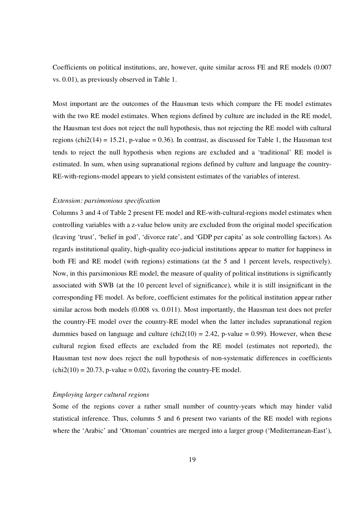Coefficients on political institutions, are, however, quite similar across FE and RE models (0.007 vs. 0.01), as previously observed in Table 1.

Most important are the outcomes of the Hausman tests which compare the FE model estimates with the two RE model estimates. When regions defined by culture are included in the RE model, the Hausman test does not reject the null hypothesis, thus not rejecting the RE model with cultural regions (chi2(14) = 15.21, p-value = 0.36). In contrast, as discussed for Table 1, the Hausman test tends to reject the null hypothesis when regions are excluded and a 'traditional' RE model is estimated. In sum, when using supranational regions defined by culture and language the country-RE-with-regions-model appears to yield consistent estimates of the variables of interest.

#### *Extension: parsimonious specification*

Columns 3 and 4 of Table 2 present FE model and RE-with-cultural-regions model estimates when controlling variables with a z-value below unity are excluded from the original model specification (leaving 'trust', 'belief in god', 'divorce rate', and 'GDP per capita' as sole controlling factors). As regards institutional quality, high-quality eco-judicial institutions appear to matter for happiness in both FE and RE model (with regions) estimations (at the 5 and 1 percent levels, respectively). Now, in this parsimonious RE model, the measure of quality of political institutions is significantly associated with SWB (at the 10 percent level of significance), while it is still insignificant in the corresponding FE model. As before, coefficient estimates for the political institution appear rather similar across both models (0.008 vs. 0.011). Most importantly, the Hausman test does not prefer the country-FE model over the country-RE model when the latter includes supranational region dummies based on language and culture (chi $2(10) = 2.42$ , p-value = 0.99). However, when these cultural region fixed effects are excluded from the RE model (estimates not reported), the Hausman test now does reject the null hypothesis of non-systematic differences in coefficients  $chi2(10) = 20.73$ , p-value = 0.02), favoring the country-FE model.

# *Employing larger cultural regions*

Some of the regions cover a rather small number of country-years which may hinder valid statistical inference. Thus, columns 5 and 6 present two variants of the RE model with regions where the 'Arabic' and 'Ottoman' countries are merged into a larger group ('Mediterranean-East'),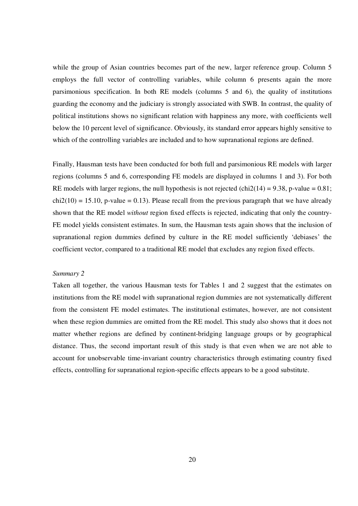while the group of Asian countries becomes part of the new, larger reference group. Column 5 employs the full vector of controlling variables, while column 6 presents again the more parsimonious specification. In both RE models (columns 5 and 6), the quality of institutions guarding the economy and the judiciary is strongly associated with SWB. In contrast, the quality of political institutions shows no significant relation with happiness any more, with coefficients well below the 10 percent level of significance. Obviously, its standard error appears highly sensitive to which of the controlling variables are included and to how supranational regions are defined.

Finally, Hausman tests have been conducted for both full and parsimonious RE models with larger regions (columns 5 and 6, corresponding FE models are displayed in columns 1 and 3). For both RE models with larger regions, the null hypothesis is not rejected (chi2(14) = 9.38, p-value =  $0.81$ ;  $chi(10) = 15.10$ , p-value = 0.13). Please recall from the previous paragraph that we have already shown that the RE model *without* region fixed effects is rejected, indicating that only the country-FE model yields consistent estimates. In sum, the Hausman tests again shows that the inclusion of supranational region dummies defined by culture in the RE model sufficiently 'debiases' the coefficient vector, compared to a traditional RE model that excludes any region fixed effects.

# *Summary 2*

Taken all together, the various Hausman tests for Tables 1 and 2 suggest that the estimates on institutions from the RE model with supranational region dummies are not systematically different from the consistent FE model estimates. The institutional estimates, however, are not consistent when these region dummies are omitted from the RE model. This study also shows that it does not matter whether regions are defined by continent-bridging language groups or by geographical distance. Thus, the second important result of this study is that even when we are not able to account for unobservable time-invariant country characteristics through estimating country fixed effects, controlling for supranational region-specific effects appears to be a good substitute.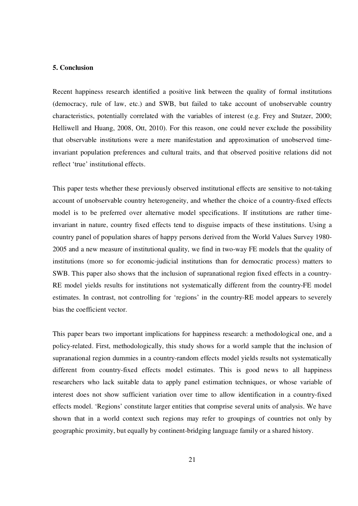#### **5. Conclusion**

Recent happiness research identified a positive link between the quality of formal institutions (democracy, rule of law, etc.) and SWB, but failed to take account of unobservable country characteristics, potentially correlated with the variables of interest (e.g. Frey and Stutzer, 2000; Helliwell and Huang, 2008, Ott, 2010). For this reason, one could never exclude the possibility that observable institutions were a mere manifestation and approximation of unobserved timeinvariant population preferences and cultural traits, and that observed positive relations did not reflect 'true' institutional effects.

This paper tests whether these previously observed institutional effects are sensitive to not-taking account of unobservable country heterogeneity, and whether the choice of a country-fixed effects model is to be preferred over alternative model specifications. If institutions are rather timeinvariant in nature, country fixed effects tend to disguise impacts of these institutions. Using a country panel of population shares of happy persons derived from the World Values Survey 1980- 2005 and a new measure of institutional quality, we find in two-way FE models that the quality of institutions (more so for economic-judicial institutions than for democratic process) matters to SWB. This paper also shows that the inclusion of supranational region fixed effects in a country-RE model yields results for institutions not systematically different from the country-FE model estimates. In contrast, not controlling for 'regions' in the country-RE model appears to severely bias the coefficient vector.

This paper bears two important implications for happiness research: a methodological one, and a policy-related. First, methodologically, this study shows for a world sample that the inclusion of supranational region dummies in a country-random effects model yields results not systematically different from country-fixed effects model estimates. This is good news to all happiness researchers who lack suitable data to apply panel estimation techniques, or whose variable of interest does not show sufficient variation over time to allow identification in a country-fixed effects model. 'Regions' constitute larger entities that comprise several units of analysis. We have shown that in a world context such regions may refer to groupings of countries not only by geographic proximity, but equally by continent-bridging language family or a shared history.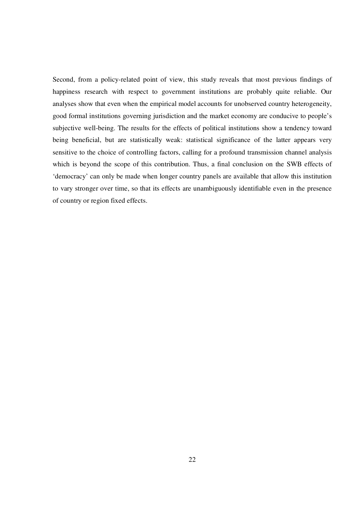Second, from a policy-related point of view, this study reveals that most previous findings of happiness research with respect to government institutions are probably quite reliable. Our analyses show that even when the empirical model accounts for unobserved country heterogeneity, good formal institutions governing jurisdiction and the market economy are conducive to people's subjective well-being. The results for the effects of political institutions show a tendency toward being beneficial, but are statistically weak: statistical significance of the latter appears very sensitive to the choice of controlling factors, calling for a profound transmission channel analysis which is beyond the scope of this contribution. Thus, a final conclusion on the SWB effects of 'democracy' can only be made when longer country panels are available that allow this institution to vary stronger over time, so that its effects are unambiguously identifiable even in the presence of country or region fixed effects.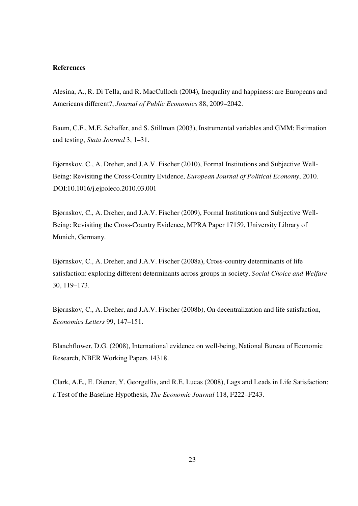#### **References**

Alesina, A., R. Di Tella, and R. MacCulloch (2004), Inequality and happiness: are Europeans and Americans different?, *Journal of Public Economics* 88, 2009–2042.

Baum, C.F., M.E. Schaffer, and S. Stillman (2003), Instrumental variables and GMM: Estimation and testing, *Stata Journal* 3, 1–31.

Bjørnskov, C., A. Dreher, and J.A.V. Fischer (2010), Formal Institutions and Subjective Well-Being: Revisiting the Cross-Country Evidence, *European Journal of Political Economy*, 2010. DOI:10.1016/j.ejpoleco.2010.03.001

Bjørnskov, C., A. Dreher, and J.A.V. Fischer (2009), Formal Institutions and Subjective Well-Being: Revisiting the Cross-Country Evidence, MPRA Paper 17159, University Library of Munich, Germany.

Bjørnskov, C., A. Dreher, and J.A.V. Fischer (2008a), Cross-country determinants of life satisfaction: exploring different determinants across groups in society, *Social Choice and Welfare* 30, 119–173.

Bjørnskov, C., A. Dreher, and J.A.V. Fischer (2008b), On decentralization and life satisfaction, *Economics Letters* 99, 147–151.

Blanchflower, D.G. (2008), International evidence on well-being, National Bureau of Economic Research, NBER Working Papers 14318.

Clark, A.E., E. Diener, Y. Georgellis, and R.E. Lucas (2008), Lags and Leads in Life Satisfaction: a Test of the Baseline Hypothesis, *The Economic Journal* 118, F222–F243.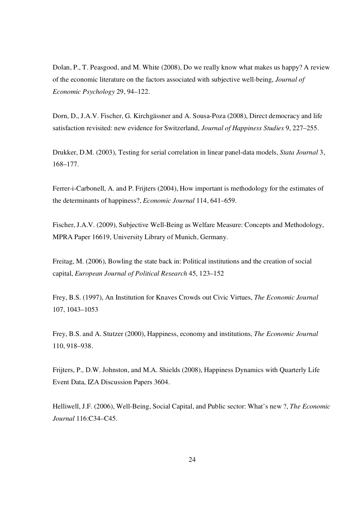Dolan, P., T. Peasgood, and M. White (2008), Do we really know what makes us happy? A review of the economic literature on the factors associated with subjective well-being, *Journal of Economic Psychology* 29, 94–122.

Dorn, D., J.A.V. Fischer, G. Kirchgässner and A. Sousa-Poza (2008), Direct democracy and life satisfaction revisited: new evidence for Switzerland, *Journal of Happiness Studies* 9, 227–255.

Drukker, D.M. (2003), Testing for serial correlation in linear panel-data models, *Stata Journal* 3, 168–177.

Ferrer-i-Carbonell, A. and P. Frijters (2004), How important is methodology for the estimates of the determinants of happiness?, *Economic Journal* 114, 641–659.

Fischer, J.A.V. (2009), Subjective Well-Being as Welfare Measure: Concepts and Methodology, MPRA Paper 16619, University Library of Munich, Germany.

Freitag, M. (2006), Bowling the state back in: Political institutions and the creation of social capital, *European Journal of Political Research* 45, 123–152

Frey, B.S. (1997), An Institution for Knaves Crowds out Civic Virtues, *The Economic Journal* 107, 1043–1053

Frey, B.S. and A. Stutzer (2000), Happiness, economy and institutions, *The Economic Journal* 110, 918–938.

Frijters, P., D.W. Johnston, and M.A. Shields (2008), Happiness Dynamics with Quarterly Life Event Data, IZA Discussion Papers 3604.

Helliwell, J.F. (2006), Well-Being, Social Capital, and Public sector: What's new ?, *The Economic Journal* 116:C34–C45.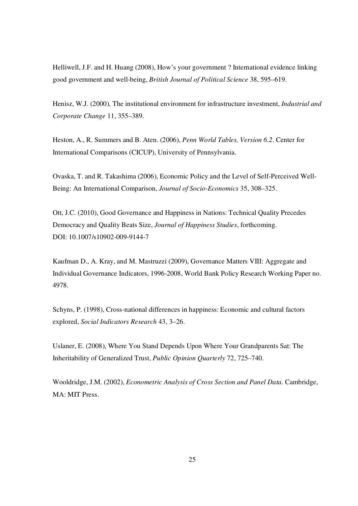Helliwell, J.F. and H. Huang (2008), How's your government ? International evidence linking good government and well-being, *British Journal of Political Science* 38, 595–619.

Henisz, W.J. (2000), The institutional environment for infrastructure investment, *Industrial and Corporate Change* 11, 355–389.

Heston, A., R. Summers and B. Aten. (2006), *Penn World Tables, Version 6.2*. Center for International Comparisons (CICUP), University of Pennsylvania.

Ovaska, T. and R. Takashima (2006), Economic Policy and the Level of Self-Perceived Well-Being: An International Comparison, *Journal of Socio-Economics* 35, 308–325.

Ott, J.C. (2010), Good Governance and Happiness in Nations: Technical Quality Precedes Democracy and Quality Beats Size, *Journal of Happiness Studies*, forthcoming. DOI: 10.1007/s10902-009-9144-7

Kaufman D., A. Kray, and M. Mastruzzi (2009), Governance Matters VIII: Aggregate and Individual Governance Indicators, 1996-2008, World Bank Policy Research Working Paper no. 4978.

Schyns, P. (1998), Cross-national differences in happiness: Economic and cultural factors explored, *Social Indicators Research* 43, 3–26.

Uslaner, E. (2008), Where You Stand Depends Upon Where Your Grandparents Sat: The Inheritability of Generalized Trust, *Public Opinion Quarterly* 72, 725–740.

Wooldridge, J.M. (2002), *Econometric Analysis of Cross Section and Panel Data*. Cambridge, MA: MIT Press.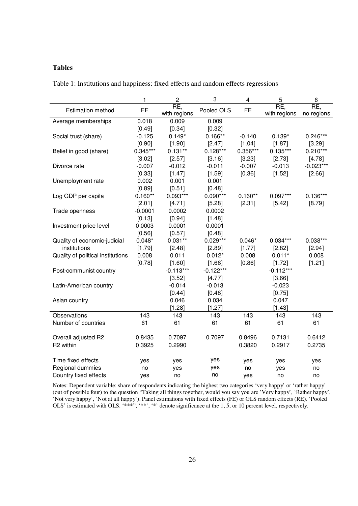# **Tables**

Table 1: Institutions and happiness: fixed effects and random effects regressions

|                                   | 1          | $\overline{c}$      | 3           | $\overline{\mathbf{4}}$ | 5                   | 6                 |
|-----------------------------------|------------|---------------------|-------------|-------------------------|---------------------|-------------------|
| <b>Estimation method</b>          | <b>FE</b>  | RE,<br>with regions | Pooled OLS  | <b>FE</b>               | RE,<br>with regions | RE,<br>no regions |
| Average memberships               | 0.018      | 0.009               | 0.009       |                         |                     |                   |
|                                   | [0.49]     | [0.34]              | [0.32]      |                         |                     |                   |
| Social trust (share)              | $-0.125$   | $0.149*$            | $0.166**$   | $-0.140$                | $0.139*$            | $0.246***$        |
|                                   | [0.90]     | [1.90]              | [2.47]      | [1.04]                  | [1.87]              | [3.29]            |
| Belief in good (share)            | $0.345***$ | $0.131**$           | $0.128***$  | 0.356***                | $0.135***$          | $0.210***$        |
|                                   | [3.02]     | [2.57]              | [3.16]      | [3.23]                  | [2.73]              | [4.78]            |
| Divorce rate                      | $-0.007$   | $-0.012$            | $-0.011$    | $-0.007$                | $-0.013$            | $-0.023***$       |
|                                   | [0.33]     | [1.47]              | [1.59]      | [0.36]                  | [1.52]              | [2.66]            |
| Unemployment rate                 | 0.002      | 0.001               | 0.001       |                         |                     |                   |
|                                   | [0.89]     | [0.51]              | [0.48]      |                         |                     |                   |
| Log GDP per capita                | $0.160**$  | $0.093***$          | $0.090***$  | $0.160**$               | $0.097***$          | $0.136***$        |
|                                   | [2.01]     | [4.71]              | [5.28]      | [2.31]                  | [5.42]              | [8.79]            |
| Trade openness                    | $-0.0001$  | 0.0002              | 0.0002      |                         |                     |                   |
|                                   | [0.13]     | [0.94]              | [1.48]      |                         |                     |                   |
| Investment price level            | 0.0003     | 0.0001              | 0.0001      |                         |                     |                   |
|                                   | [0.56]     | [0.57]              | [0.48]      |                         |                     |                   |
| Quality of economic-judicial      | $0.048*$   | $0.031**$           | $0.029***$  | $0.046*$                | $0.034***$          | $0.038***$        |
| institutions                      | [1.79]     | [2.48]              | [2.89]      | [1.77]                  | [2.82]              | [2.94]            |
| Quality of political institutions | 0.008      | 0.011               | $0.012*$    | 0.008                   | $0.011*$            | 0.008             |
|                                   | [0.78]     | [1.60]              | [1.66]      | [0.86]                  | [1.72]              | [1.21]            |
| Post-communist country            |            | $-0.113***$         | $-0.122***$ |                         | $-0.112***$         |                   |
|                                   |            | [3.52]              | [4.77]      |                         | [3.66]              |                   |
| Latin-American country            |            | $-0.014$            | $-0.013$    |                         | $-0.023$            |                   |
|                                   |            | [0.44]              | [0.48]      |                         | [0.75]              |                   |
| Asian country                     |            | 0.046               | 0.034       |                         | 0.047               |                   |
|                                   |            | [1.28]              | [1.27]      |                         | [1.43]              |                   |
| Observations                      | 143        | 143                 | 143         | 143                     | 143                 | 143               |
| Number of countries               | 61         | 61                  | 61          | 61                      | 61                  | 61                |
|                                   |            |                     |             |                         |                     |                   |
| Overall adjusted R2               | 0.8435     | 0.7097              | 0.7097      | 0.8496                  | 0.7131              | 0.6412            |
| R2 within                         | 0.3925     | 0.2990              |             | 0.3820                  | 0.2917              | 0.2735            |
|                                   |            |                     |             |                         |                     |                   |
| Time fixed effects                | yes        | yes                 | yes         | yes                     | yes                 | yes               |
| Regional dummies                  | no         | yes                 | yes         | no                      | yes                 | no                |
| Country fixed effects             | yes        | no                  | no          | yes                     | no                  | no                |

Notes: Dependent variable: share of respondents indicating the highest two categories 'very happy' or 'rather happy' (out of possible four) to the question "Taking all things together, would you say you are 'Very happy', 'Rather happy', 'Not very happy', 'Not at all happy'). Panel estimations with fixed effects (FE) or GLS random effects (RE). 'Pooled OLS' is estimated with OLS. '\*\*\*'', '\*\*', '\*' denote significance at the 1, 5, or 10 percent level, respectively.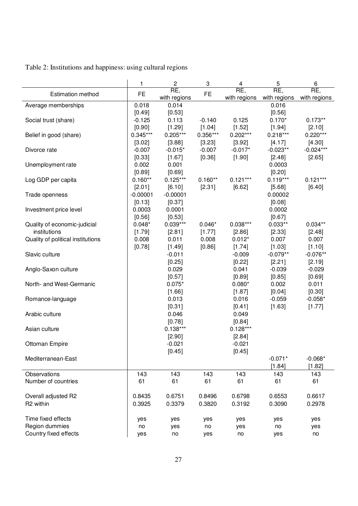|                                   | 1          | 2<br>3              |           | 4                   | 5                   | 6                   |
|-----------------------------------|------------|---------------------|-----------|---------------------|---------------------|---------------------|
| <b>Estimation method</b>          | FE         | RE,<br>with regions | <b>FE</b> | RE,<br>with regions | RE,<br>with regions | RE,<br>with regions |
| Average memberships               | 0.018      | 0.014               |           |                     | 0.016               |                     |
|                                   | [0.49]     | [0.53]              |           |                     | [0.56]              |                     |
| Social trust (share)              | $-0.125$   | 0.113               | $-0.140$  | 0.125               | $0.170*$            | $0.173**$           |
|                                   | [0.90]     | [1.29]              | [1.04]    | [1.52]              | [1.94]              | [2.10]              |
| Belief in good (share)            | $0.345***$ | $0.205***$          | 0.356***  | $0.202***$          | $0.218***$          | $0.220***$          |
|                                   | [3.02]     | [3.88]              | [3.23]    | [3.92]              | [4.17]              | [4.30]              |
| Divorce rate                      | $-0.007$   | $-0.015*$           | $-0.007$  | $-0.017*$           | $-0.023**$          | $-0.024***$         |
|                                   | [0.33]     | [1.67]              | $[0.36]$  | [1.90]              | [2.48]              | [2.65]              |
| Unemployment rate                 | 0.002      | 0.001               |           |                     | 0.0003              |                     |
|                                   | [0.89]     | [0.69]              |           |                     | [0.20]              |                     |
| Log GDP per capita                | $0.160**$  | $0.125***$          | $0.160**$ | $0.121***$          | $0.119***$          | $0.121***$          |
|                                   | [2.01]     | [6.10]              | [2.31]    | [6.62]              | [5.68]              | [6.40]              |
| Trade openness                    | $-0.00001$ | $-0.00001$          |           |                     | 0.00002             |                     |
|                                   | [0.13]     | [0.37]              |           |                     | [0.08]              |                     |
| Investment price level            | 0.0003     | 0.0001              |           |                     | 0.0002              |                     |
|                                   | [0.56]     | [0.53]              |           |                     | [0.67]              |                     |
| Quality of economic-judicial      | $0.048*$   | $0.039***$          | $0.046*$  | $0.038***$          | $0.033**$           | $0.034**$           |
| institutions                      | [1.79]     | [2.81]              | [1.77]    | [2.86]              | [2.33]              | [2.48]              |
| Quality of political institutions | 0.008      | 0.011               | 0.008     | $0.012*$            | 0.007               | 0.007               |
|                                   | [0.78]     | [1.49]              | [0.86]    | [1.74]              | [1.03]              | [1.10]              |
| Slavic culture                    |            | $-0.011$            |           | $-0.009$            | $-0.079**$          | $-0.076**$          |
|                                   |            | [0.25]              |           | [0.22]              | [2.21]              | [2.19]              |
| Anglo-Saxon culture               |            | 0.029               |           | 0.041               | $-0.039$            | $-0.029$            |
|                                   |            | [0.57]              |           | [0.89]              | [0.85]              | [0.69]              |
| North- and West-Germanic          |            | $0.075*$            |           | $0.080*$            | 0.002               | 0.011               |
|                                   |            | [1.66]              |           | [1.87]              | [0.04]              | [0.30]              |
| Romance-language                  |            | 0.013               |           | 0.016               | $-0.059$            | $-0.058*$           |
|                                   |            | [0.31]              |           | [0.41]              | [1.63]              | [1.77]              |
| Arabic culture                    |            | 0.046               |           | 0.049               |                     |                     |
|                                   |            | [0.78]              |           | [0.84]              |                     |                     |
| Asian culture                     |            | $0.138***$          |           | $0.128***$          |                     |                     |
|                                   |            | [2.90]              |           | [2.84]              |                     |                     |
| Ottoman Empire                    |            | $-0.021$            |           | $-0.021$            |                     |                     |
|                                   |            | [0.45]              |           | [0.45]              |                     |                     |
| Mediterranean-East                |            |                     |           |                     | $-0.071*$           | $-0.068*$           |
|                                   |            |                     |           |                     | [1.84]              | [1.82]              |
| <b>Observations</b>               | 143        | 143                 | 143       | 143                 | 143                 | 143                 |
| Number of countries               | 61         | 61                  | 61        | 61                  | 61                  | 61                  |
|                                   |            |                     |           |                     |                     |                     |
| Overall adjusted R2               | 0.8435     | 0.6751              | 0.8496    | 0.6798              | 0.6553              | 0.6617              |
| R2 within                         | 0.3925     | 0.3379              | 0.3820    | 0.3192              | 0.3090              | 0.2978              |
|                                   |            |                     |           |                     |                     |                     |
| Time fixed effects                | yes        | yes                 | yes       | yes                 | yes                 | yes                 |
| Region dummies                    | no         | yes                 | no        | yes                 | no                  |                     |
| Country fixed effects             |            |                     |           |                     |                     | yes                 |
|                                   | yes        | no                  | yes       | no                  | yes                 | no                  |

Table 2: Institutions and happiness: using cultural regions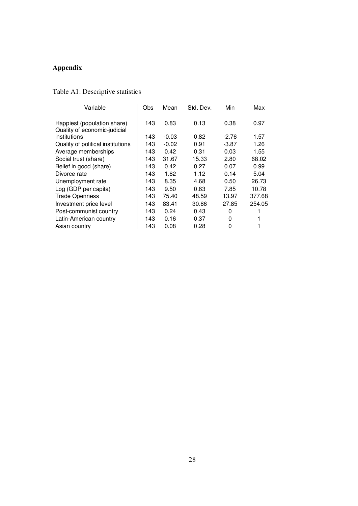# **Appendix**

| Variable                          | Obs | Mean    | Std. Dev. | Min     | Max    |
|-----------------------------------|-----|---------|-----------|---------|--------|
|                                   |     |         |           |         |        |
| Happiest (population share)       | 143 | 0.83    | 0.13      | 0.38    | 0.97   |
| Quality of economic-judicial      |     |         |           |         |        |
| institutions                      | 143 | $-0.03$ | 0.82      | $-2.76$ | 1.57   |
| Quality of political institutions | 143 | $-0.02$ | 0.91      | $-3.87$ | 1.26   |
| Average memberships               | 143 | 0.42    | 0.31      | 0.03    | 1.55   |
| Social trust (share)              | 143 | 31.67   | 15.33     | 2.80    | 68.02  |
| Belief in good (share)            | 143 | 0.42    | 0.27      | 0.07    | 0.99   |
| Divorce rate                      | 143 | 1.82    | 1.12      | 0.14    | 5.04   |
| Unemployment rate                 | 143 | 8.35    | 4.68      | 0.50    | 26.73  |
| Log (GDP per capita)              | 143 | 9.50    | 0.63      | 7.85    | 10.78  |
| <b>Trade Openness</b>             | 143 | 75.40   | 48.59     | 13.97   | 377.68 |
| Investment price level            | 143 | 83.41   | 30.86     | 27.85   | 254.05 |
| Post-communist country            | 143 | 0.24    | 0.43      | 0       |        |
| Latin-American country            | 143 | 0.16    | 0.37      | 0       |        |
| Asian country                     | 143 | 0.08    | 0.28      | 0       |        |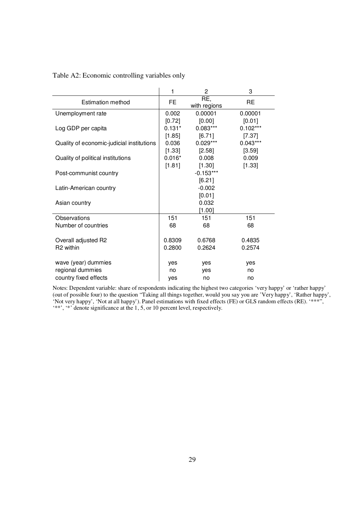|                                           | 1        | $\mathbf{2}$        | 3          |
|-------------------------------------------|----------|---------------------|------------|
| <b>Estimation method</b>                  | FE       | RE,<br>with regions | RE         |
| Unemployment rate                         | 0.002    | 0.00001             | 0.00001    |
|                                           | [0.72]   | [0.00]              | [0.01]     |
| Log GDP per capita                        | $0.131*$ | $0.083***$          | $0.102***$ |
|                                           | [1.85]   | [6.71]              | $[7.37]$   |
| Quality of economic-judicial institutions | 0.036    | $0.029***$          | $0.043***$ |
|                                           | [1.33]   | $[2.58]$            | [3.59]     |
| Quality of political institutions         | $0.016*$ | 0.008               | 0.009      |
|                                           | [1.81]   | $[1.30]$            | [1.33]     |
| Post-communist country                    |          | $-0.153***$         |            |
|                                           |          | [6.21]              |            |
| Latin-American country                    |          | $-0.002$            |            |
|                                           |          | [0.01]              |            |
| Asian country                             |          | 0.032               |            |
|                                           |          | [1.00]              |            |
| Observations                              | 151      | 151                 | 151        |
| Number of countries                       | 68       | 68                  | 68         |
|                                           |          |                     |            |
| Overall adjusted R2                       | 0.8309   | 0.6768              | 0.4835     |
| R <sub>2</sub> within                     | 0.2800   | 0.2624              | 0.2574     |
|                                           |          |                     |            |
| wave (year) dummies                       | yes      | yes                 | yes        |
| regional dummies                          | no       | yes                 | no         |
| country fixed effects                     | yes      | no                  | no         |

Table A2: Economic controlling variables only

Notes: Dependent variable: share of respondents indicating the highest two categories 'very happy' or 'rather happy' (out of possible four) to the question "Taking all things together, would you say you are 'Very happy', 'Rather happy', 'Not very happy', 'Not at all happy'). Panel estimations with fixed effects (FE) or GLS random effects (RE). '\*\*\*", '\*\*', '\*' denote significance at the 1, 5, or 10 percent level, respectively.